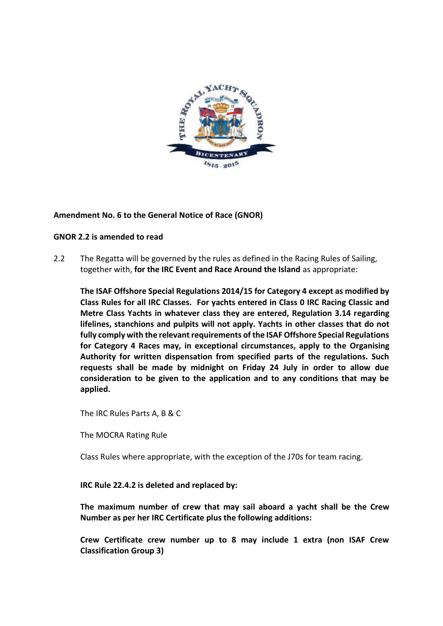

## **Amendment No. 6 to the General Notice of Race (GNOR)**

## **GNOR 2.2 is amended to read**

2.2 The Regatta will be governed by the rules as defined in the Racing Rules of Sailing, together with, **for the IRC Event and Race Around the Island** as appropriate:

**The ISAF Offshore Special Regulations 2014/15 for Category 4 except as modified by Class Rules for all IRC Classes. For yachts entered in Class 0 IRC Racing Classic and Metre Class Yachts in whatever class they are entered, Regulation 3.14 regarding lifelines, stanchions and pulpits will not apply. Yachts in other classes that do not fully comply with the relevant requirements of the ISAF Offshore Special Regulations for Category 4 Races may, in exceptional circumstances, apply to the Organising Authority for written dispensation from specified parts of the regulations. Such requests shall be made by midnight on Friday 24 July in order to allow due consideration to be given to the application and to any conditions that may be applied.**

The IRC Rules Parts A, B & C

The MOCRA Rating Rule

Class Rules where appropriate, with the exception of the J70s for team racing.

## **IRC Rule 22.4.2 is deleted and replaced by:**

**The maximum number of crew that may sail aboard a yacht shall be the Crew Number as per her IRC Certificate plus the following additions:**

**Crew Certificate crew number up to 8 may include 1 extra (non ISAF Crew Classification Group 3)**